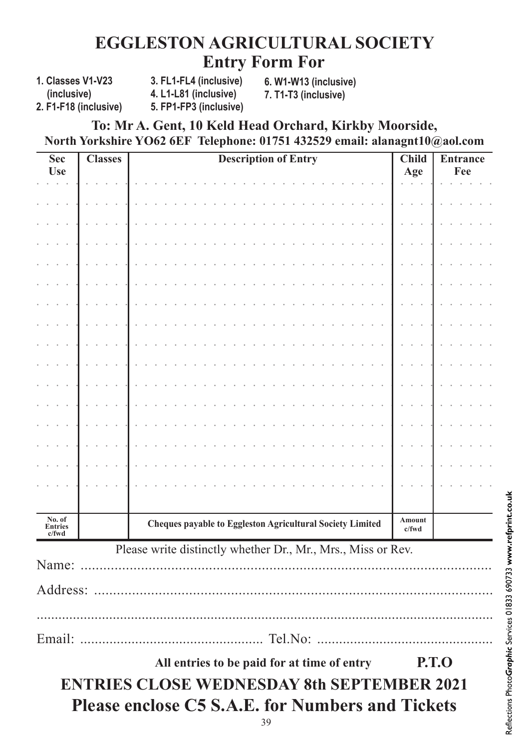## **EGGLESTON AGRICULTURAL SOCIETY Entry Form For**

**1. Classes V1-V23 (inclusive)**

**3. FL1-FL4 (inclusive) 4. L1-L81 (inclusive) 5. FP1-FP3 (inclusive)**  **6. W1-W13 (inclusive) 7. T1-T3 (inclusive)**

**2. F1-F18 (inclusive)**

## **To: Mr A. Gent, 10 Keld Head Orchard, Kirkby Moorside, North Yorkshire YO62 6EF Telephone: 01751 432529 email: alanagnt10@aol.com**

| Sec<br><b>Use</b>             | <b>Classes</b> | <b>Description of Entry</b>                                      | <b>Child</b><br>Age | <b>Entrance</b><br>Fee |
|-------------------------------|----------------|------------------------------------------------------------------|---------------------|------------------------|
|                               |                |                                                                  |                     |                        |
|                               |                |                                                                  |                     |                        |
|                               |                |                                                                  |                     |                        |
|                               |                |                                                                  |                     |                        |
|                               |                |                                                                  |                     |                        |
|                               |                |                                                                  |                     |                        |
|                               |                |                                                                  |                     |                        |
|                               |                |                                                                  |                     |                        |
|                               |                |                                                                  |                     |                        |
|                               |                |                                                                  |                     |                        |
|                               |                |                                                                  |                     |                        |
|                               |                |                                                                  |                     |                        |
|                               |                |                                                                  |                     |                        |
|                               |                |                                                                  |                     |                        |
|                               |                |                                                                  |                     |                        |
|                               |                |                                                                  |                     |                        |
| No. of<br>Entries<br>$c$ /fwd |                | <b>Cheques payable to Eggleston Agricultural Society Limited</b> | Amount<br>c/fwd     |                        |
|                               |                | Please write distinctly whether Dr., Mr., Mrs., Miss or Rev.     |                     |                        |
| Name:                         |                |                                                                  |                     |                        |
| Address:                      |                |                                                                  |                     |                        |
|                               |                |                                                                  |                     |                        |
|                               |                |                                                                  |                     |                        |
|                               |                | All entries to be paid for at time of entry                      |                     | <b>P.T.O</b>           |
|                               |                | <b>ENTRIES CLOSE WEDNESDAY 8th SEPTEMBER 2021</b>                |                     |                        |
|                               |                | <b>Please enclose C5 S.A.E. for Numbers and Tickets</b>          |                     |                        |